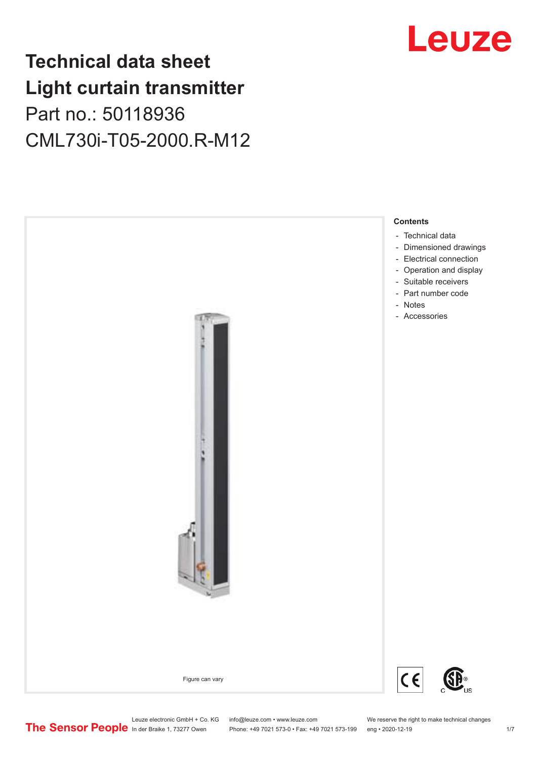# **Technical data sheet Light curtain transmitter** Part no.: 50118936 CML730i-T05-2000.R-M12





Leuze electronic GmbH + Co. KG info@leuze.com • www.leuze.com We reserve the right to make technical changes<br>
The Sensor People in der Braike 1, 73277 Owen Phone: +49 7021 573-0 • Fax: +49 7021 573-199 eng • 2020-12-19

Phone: +49 7021 573-0 • Fax: +49 7021 573-199 eng • 2020-12-19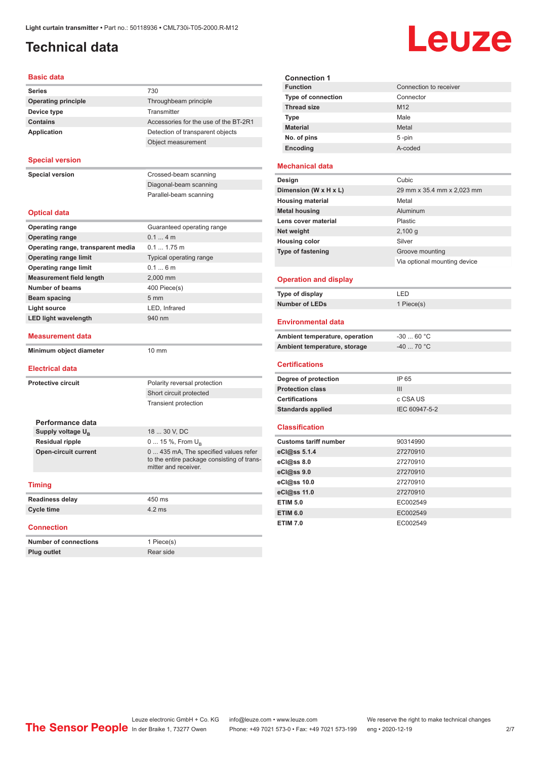# <span id="page-1-0"></span>**Technical data**

# Leuze

| <b>Basic data</b>                  |                                                                                                             |  |  |  |
|------------------------------------|-------------------------------------------------------------------------------------------------------------|--|--|--|
| <b>Series</b>                      | 730                                                                                                         |  |  |  |
| <b>Operating principle</b>         | Throughbeam principle                                                                                       |  |  |  |
| Device type                        | Transmitter                                                                                                 |  |  |  |
| <b>Contains</b>                    | Accessories for the use of the BT-2R1                                                                       |  |  |  |
| Application                        | Detection of transparent objects                                                                            |  |  |  |
|                                    | Object measurement                                                                                          |  |  |  |
| <b>Special version</b>             |                                                                                                             |  |  |  |
| <b>Special version</b>             | Crossed-beam scanning                                                                                       |  |  |  |
|                                    | Diagonal-beam scanning                                                                                      |  |  |  |
|                                    | Parallel-beam scanning                                                                                      |  |  |  |
| <b>Optical data</b>                |                                                                                                             |  |  |  |
| <b>Operating range</b>             | Guaranteed operating range                                                                                  |  |  |  |
| <b>Operating range</b>             | $0.14$ m                                                                                                    |  |  |  |
| Operating range, transparent media | $0.1 1.75$ m                                                                                                |  |  |  |
| <b>Operating range limit</b>       | Typical operating range                                                                                     |  |  |  |
| <b>Operating range limit</b>       | 0.16m                                                                                                       |  |  |  |
| <b>Measurement field length</b>    | 2.000 mm                                                                                                    |  |  |  |
| <b>Number of beams</b>             | 400 Piece(s)                                                                                                |  |  |  |
| Beam spacing                       | $5 \, \text{mm}$                                                                                            |  |  |  |
| <b>Light source</b>                | LED, Infrared                                                                                               |  |  |  |
| <b>LED light wavelength</b>        | 940 nm                                                                                                      |  |  |  |
| Measurement data                   |                                                                                                             |  |  |  |
| Minimum object diameter            | $10 \text{ mm}$                                                                                             |  |  |  |
| <b>Electrical data</b>             |                                                                                                             |  |  |  |
| <b>Protective circuit</b>          | Polarity reversal protection                                                                                |  |  |  |
|                                    | Short circuit protected                                                                                     |  |  |  |
|                                    | <b>Transient protection</b>                                                                                 |  |  |  |
| Performance data                   |                                                                                                             |  |  |  |
| Supply voltage U <sub>R</sub>      | 18  30 V, DC                                                                                                |  |  |  |
| <b>Residual ripple</b>             | $0 15 \%$ , From $U_{p}$                                                                                    |  |  |  |
| <b>Open-circuit current</b>        | 0  435 mA, The specified values refer<br>to the entire package consisting of trans-<br>mitter and receiver. |  |  |  |
| <b>Timing</b>                      |                                                                                                             |  |  |  |
| <b>Readiness delay</b>             | 450 ms                                                                                                      |  |  |  |
| Cycle time                         | $4.2 \text{ ms}$                                                                                            |  |  |  |
| <b>Connection</b>                  |                                                                                                             |  |  |  |
| <b>Number of connections</b>       | 1 Piece(s)                                                                                                  |  |  |  |

| <b>Function</b>           | Connection to receiver |
|---------------------------|------------------------|
| <b>Type of connection</b> | Connector              |
| <b>Thread size</b>        | M <sub>12</sub>        |
| <b>Type</b>               | Male                   |
| <b>Material</b>           | Metal                  |
| No. of pins               | $5 - pin$              |
| Encoding                  | A-coded                |

#### **Mechanical data**

**Connection 1**

| Design                   | Cubic                        |
|--------------------------|------------------------------|
| Dimension (W x H x L)    | 29 mm x 35.4 mm x 2,023 mm   |
| <b>Housing material</b>  | Metal                        |
| <b>Metal housing</b>     | Aluminum                     |
| Lens cover material      | <b>Plastic</b>               |
| Net weight               | 2,100 g                      |
| <b>Housing color</b>     | Silver                       |
| <b>Type of fastening</b> | Groove mounting              |
|                          | Via optional mounting device |
|                          |                              |

#### **Operation and display**

| Type of display       | ' FD.      |
|-----------------------|------------|
| <b>Number of LEDs</b> | 1 Piece(s) |

#### **Environmental data**

| Ambient temperature, operation | -30  60 °C |
|--------------------------------|------------|
| Ambient temperature, storage   | -40  70 °C |

#### **Certifications**

| Degree of protection     | IP 65         |
|--------------------------|---------------|
| <b>Protection class</b>  | Ш             |
| <b>Certifications</b>    | c CSA US      |
| <b>Standards applied</b> | IEC 60947-5-2 |

#### **Classification**

| <b>Customs tariff number</b> | 90314990 |
|------------------------------|----------|
| eCl@ss 5.1.4                 | 27270910 |
| eC <sub>1</sub> @ss 8.0      | 27270910 |
| eCl@ss 9.0                   | 27270910 |
| eCl@ss 10.0                  | 27270910 |
| eCl@ss 11.0                  | 27270910 |
| <b>ETIM 5.0</b>              | EC002549 |
| <b>ETIM 6.0</b>              | EC002549 |
| <b>ETIM 7.0</b>              | EC002549 |

**Plug outlet** Rear side

Leuze electronic GmbH + Co. KG info@leuze.com • www.leuze.com We reserve the right to make technical changes ln der Braike 1, 73277 Owen Phone: +49 7021 573-0 • Fax: +49 7021 573-199 eng • 2020-12-19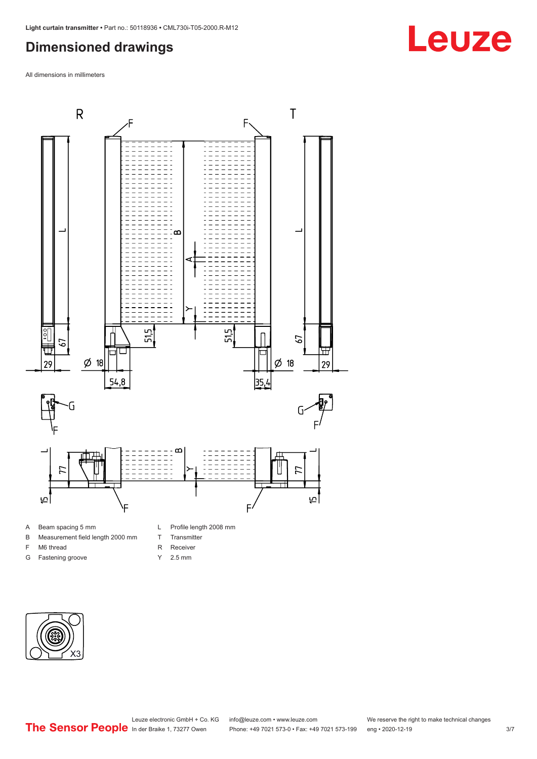## <span id="page-2-0"></span>**Dimensioned drawings**

All dimensions in millimeters



#### A Beam spacing 5 mm

- B Measurement field length 2000 mm
- F M6 thread
- G Fastening groove
- L Profile length 2008 mm
- T Transmitter
- R Receiver
- Y 2.5 mm



# **Leuze**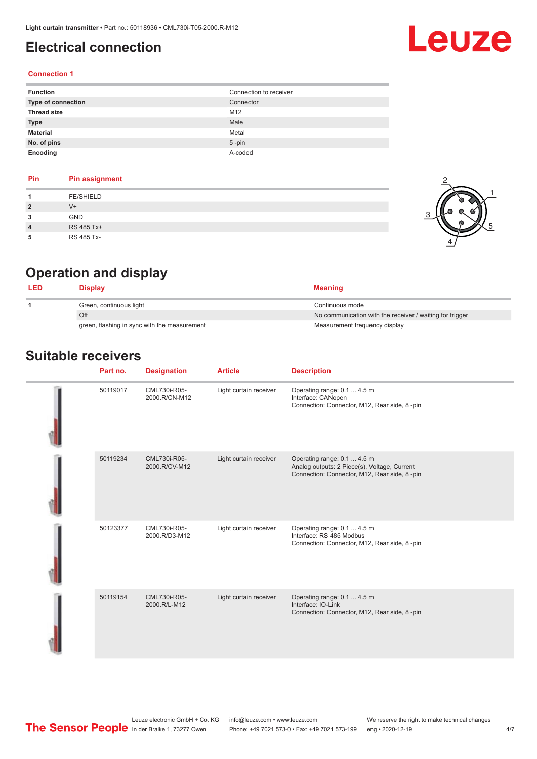## <span id="page-3-0"></span>**Electrical connection**

# Leuze

#### **Connection 1**

| <b>Function</b>    | Connection to receiver |
|--------------------|------------------------|
| Type of connection | Connector              |
| <b>Thread size</b> | M12                    |
| <b>Type</b>        | Male                   |
| <b>Material</b>    | Metal                  |
| No. of pins        | $5$ -pin               |
| Encoding           | A-coded                |

#### **Pin Pin assignment 1** FE/SHIELD **2** V+ **3** GND **4** RS 485 Tx+ **5** RS 485 Tx-



# **Operation and display**

| Display                                      | <b>Meaning</b>                                           |
|----------------------------------------------|----------------------------------------------------------|
| Green, continuous light                      | Continuous mode                                          |
| Off                                          | No communication with the receiver / waiting for trigger |
| green, flashing in sync with the measurement | Measurement frequency display                            |

### **Suitable receivers**

| Part no. | <b>Designation</b>            | <b>Article</b>         | <b>Description</b>                                                                                                          |
|----------|-------------------------------|------------------------|-----------------------------------------------------------------------------------------------------------------------------|
| 50119017 | CML730i-R05-<br>2000.R/CN-M12 | Light curtain receiver | Operating range: 0.1  4.5 m<br>Interface: CANopen<br>Connection: Connector, M12, Rear side, 8-pin                           |
| 50119234 | CML730i-R05-<br>2000.R/CV-M12 | Light curtain receiver | Operating range: 0.1  4.5 m<br>Analog outputs: 2 Piece(s), Voltage, Current<br>Connection: Connector, M12, Rear side, 8-pin |
| 50123377 | CML730i-R05-<br>2000.R/D3-M12 | Light curtain receiver | Operating range: 0.1  4.5 m<br>Interface: RS 485 Modbus<br>Connection: Connector, M12, Rear side, 8-pin                     |
| 50119154 | CML730i-R05-<br>2000.R/L-M12  | Light curtain receiver | Operating range: 0.1  4.5 m<br>Interface: IO-Link<br>Connection: Connector, M12, Rear side, 8-pin                           |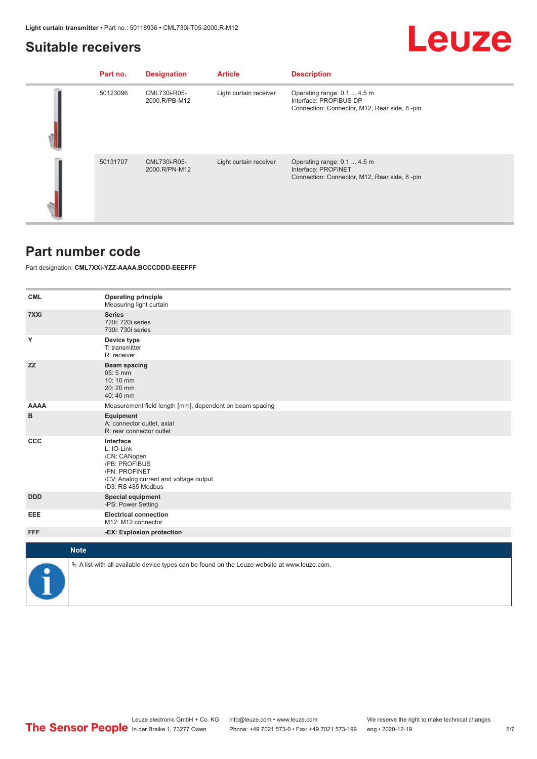### <span id="page-4-0"></span>**Suitable receivers**

# Leuze

| Part no. | <b>Designation</b>            | <b>Article</b>         | <b>Description</b>                                                                                    |
|----------|-------------------------------|------------------------|-------------------------------------------------------------------------------------------------------|
| 50123096 | CML730i-R05-<br>2000.R/PB-M12 | Light curtain receiver | Operating range: 0.1  4.5 m<br>Interface: PROFIBUS DP<br>Connection: Connector, M12, Rear side, 8-pin |
| 50131707 | CML730i-R05-<br>2000.R/PN-M12 | Light curtain receiver | Operating range: 0.1  4.5 m<br>Interface: PROFINET<br>Connection: Connector, M12, Rear side, 8-pin    |

### **Part number code**

#### Part designation: **CML7XXi-YZZ-AAAA.BCCCDDD-EEEFFF**

| <b>CML</b>  | <b>Operating principle</b><br>Measuring light curtain                                                                                     |
|-------------|-------------------------------------------------------------------------------------------------------------------------------------------|
| 7XXi        | <b>Series</b><br>720i: 720i series<br>730i: 730i series                                                                                   |
| Y           | Device type<br>T: transmitter<br>R: receiver                                                                                              |
| <b>ZZ</b>   | <b>Beam spacing</b><br>$05:5$ mm<br>10:10 mm<br>20:20 mm<br>40:40 mm                                                                      |
| <b>AAAA</b> | Measurement field length [mm], dependent on beam spacing                                                                                  |
| в           | Equipment<br>A: connector outlet, axial<br>R: rear connector outlet                                                                       |
| CCC         | Interface<br>L: IO-Link<br>/CN: CANopen<br>/PB: PROFIBUS<br>/PN: PROFINET<br>/CV: Analog current and voltage output<br>/D3: RS 485 Modbus |
| <b>DDD</b>  | <b>Special equipment</b><br>-PS: Power Setting                                                                                            |
| EEE         | <b>Electrical connection</b><br>M12: M12 connector                                                                                        |
| <b>FFF</b>  | -EX: Explosion protection                                                                                                                 |
| <b>Note</b> |                                                                                                                                           |
|             | $\&$ A list with all available device types can be found on the Leuze website at www.leuze.com.                                           |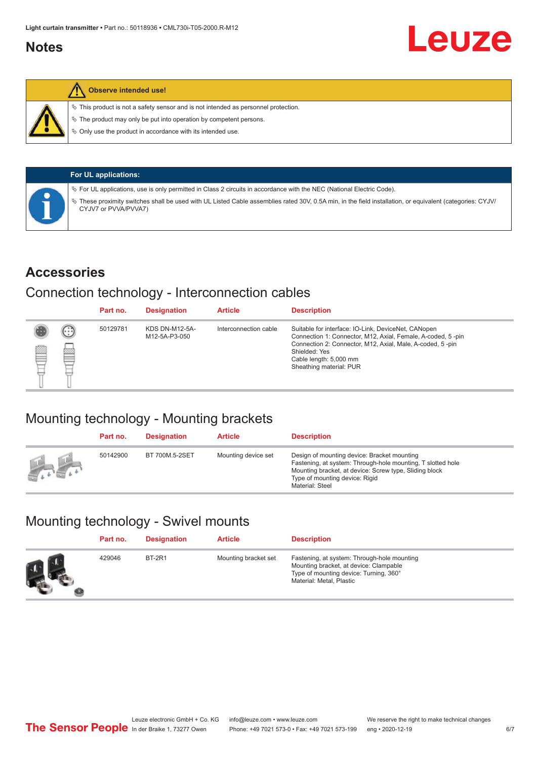#### <span id="page-5-0"></span>**Notes**



#### **Observe intended use!**

 $\%$  This product is not a safety sensor and is not intended as personnel protection.

 $\%$  The product may only be put into operation by competent persons.

 $\%$  Only use the product in accordance with its intended use.

|  | <b>For UL applications:</b>                                                                                                                                                       |
|--|-----------------------------------------------------------------------------------------------------------------------------------------------------------------------------------|
|  | V For UL applications, use is only permitted in Class 2 circuits in accordance with the NEC (National Electric Code).                                                             |
|  | V These proximity switches shall be used with UL Listed Cable assemblies rated 30V, 0.5A min, in the field installation, or equivalent (categories: CYJV/<br>CYJV7 or PVVA/PVVA7) |

#### **Accessories**

### Connection technology - Interconnection cables

|   |        | Part no. | <b>Designation</b>                     | <b>Article</b>        | <b>Description</b>                                                                                                                                                                                                                                    |
|---|--------|----------|----------------------------------------|-----------------------|-------------------------------------------------------------------------------------------------------------------------------------------------------------------------------------------------------------------------------------------------------|
| m | ⊙<br>œ | 50129781 | <b>KDS DN-M12-5A-</b><br>M12-5A-P3-050 | Interconnection cable | Suitable for interface: IO-Link, DeviceNet, CANopen<br>Connection 1: Connector, M12, Axial, Female, A-coded, 5-pin<br>Connection 2: Connector, M12, Axial, Male, A-coded, 5-pin<br>Shielded: Yes<br>Cable length: 5,000 mm<br>Sheathing material: PUR |

## Mounting technology - Mounting brackets

|               | Part no. | <b>Designation</b> | <b>Article</b>      | <b>Description</b>                                                                                                                                                                                                        |
|---------------|----------|--------------------|---------------------|---------------------------------------------------------------------------------------------------------------------------------------------------------------------------------------------------------------------------|
| <b>Altres</b> | 50142900 | BT 700M.5-2SET     | Mounting device set | Design of mounting device: Bracket mounting<br>Fastening, at system: Through-hole mounting, T slotted hole<br>Mounting bracket, at device: Screw type, Sliding block<br>Type of mounting device: Rigid<br>Material: Steel |

# Mounting technology - Swivel mounts

| Part no. | <b>Designation</b> | <b>Article</b>       | <b>Description</b>                                                                                                                                          |
|----------|--------------------|----------------------|-------------------------------------------------------------------------------------------------------------------------------------------------------------|
| 429046   | <b>BT-2R1</b>      | Mounting bracket set | Fastening, at system: Through-hole mounting<br>Mounting bracket, at device: Clampable<br>Type of mounting device: Turning, 360°<br>Material: Metal, Plastic |

Leuze